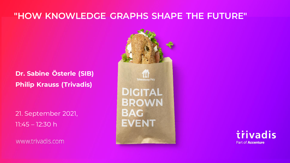# **"HOW KNOWLEDGE GRAPHS SHAPE THE FUTURE"**

### **Dr. Sabine Österle (SIB) Philip Krauss (Trivadis)**

21. September 2021, 11:45 – 12:30 h

www.trivadis.com



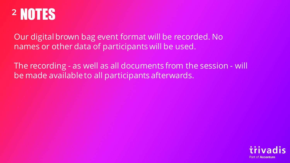

Our digital brown bag event format will be recorded. No names or other data of participants will be used.

The recording - as well as all documents from the session - will be made available to all participants afterwards.

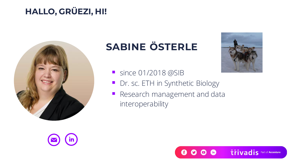# **HALLO, GRÜEZI, HI!**



# **SABINE ÖSTERLE**



- since 01/2018 @SIB
- Dr. sc. ETH in Synthetic Biology
- **Research management and data** interoperability



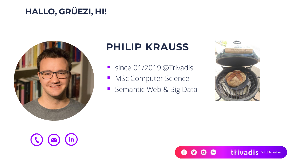# **HALLO, GRÜEZI, HI!**



 $\bigodot$   $\bigodot$   $\bigodot$   $\bigodot$ 

# **PHILIP KRAUSS**

- since 01/2019 @Trivadis
- MSc Computer Science
- **E** Semantic Web & Big Data



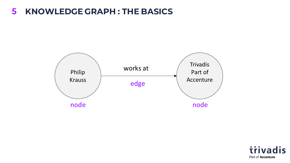### **KNOWLEDGE GRAPH : THE BASICS 5**



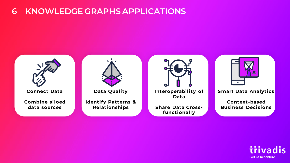## **6 KNOWLEDGE GRAPHS APPLICATIONS**



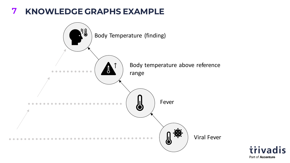#### **KNOWLEDGE GRAPHS EXAMPLE 7**



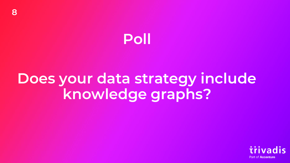# **Poll**

# **Does your data strategy include knowledge graphs?**

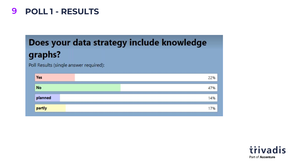# **9 POLL 1 - RESULTS**

# Does your data strategy include knowledge graphs?

Poll Results (single answer required):

| Yes     | 22% |
|---------|-----|
| No      | 47% |
| planned | 14% |
| partly  | 17% |

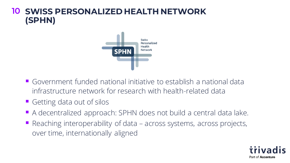## **SWISS PERSONALIZED HEALTH NETWORK 10(SPHN)**



- Government funded national initiative to establish a national data infrastructure network for research with health-related data
- Getting data out of silos
- A decentralized approach: SPHN does not build a central data lake.
- Reaching interoperability of data across systems, across projects, over time, internationally aligned

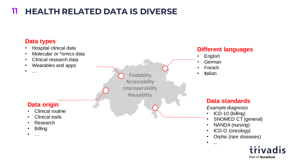#### **HEALTH RELATED DATA IS DIVERSE 11**

#### **Data types**

- Hospital clinical data
- Molecular or \*omics data
- Clinical research data
- Wearables and apps
- $\bullet$  ……

Findability **• Italian Accessability** Interoperability Reusability

#### **Data origin**

- Clinical routine
- Clinical trails
- Research
- Billing
- …

#### **Different languages**

- English
- German
- French
- 

#### **Data standards**

*Example diagnosis*

- ICD-10 (billing)
- SNOMED CT (general)
- NANDA (nursing)
- ICD-O (oncology)
- Orpha (rare diseases)
- ...

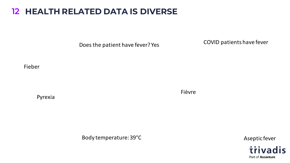## **HEALTH RELATED DATA IS DIVERSE 12**

Does the patient have fever? Yes

COVID patients have fever

Fieber

Pyrexia

Fièvre

Body temperature: 39°C

Aseptic fever

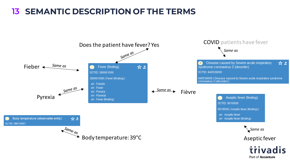## **13 SEMANTIC DESCRIPTION OF THE TERMS**



Part of **Accenture**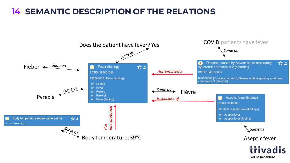## **14 SEMANTIC DESCRIPTION OF THE RELATIONS**



Part of Accenture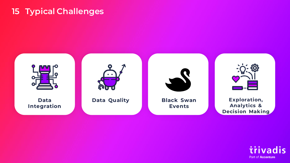# **15 Typical Challenges**



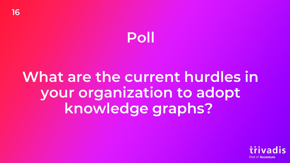# **Poll**

# **What are the current hurdles in your organization to adopt knowledge graphs?**

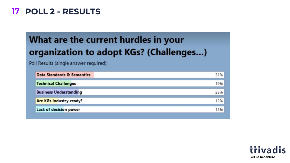## **POLL 2 - RESULTS 17**

# What are the current hurdles in your organization to adopt KGs? (Challenges...)

Poll Results (single answer required):

| Data Standards & Semantics     | 31% |
|--------------------------------|-----|
| <b>Technical Challenges</b>    | 19% |
| <b>Business Understanding</b>  | 23% |
| <b>Are KGs industry-ready?</b> | 12% |
| Lack of decision power         | 15% |
|                                |     |

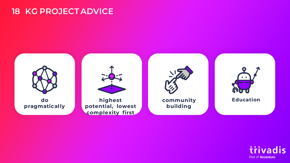### **18 KG PROJECT ADVICE**



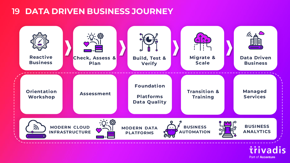### **19 DATA DRIVEN BUSINESS JOURNEY**



Part of **Accenture**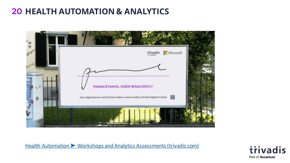# **20 HEALTH AUTOMATION & ANALYTICS**



Health Automation ► [Workshops and Analytics Assessments \(trivadis.com\)](https://www.trivadis.com/en/offer/prescription)